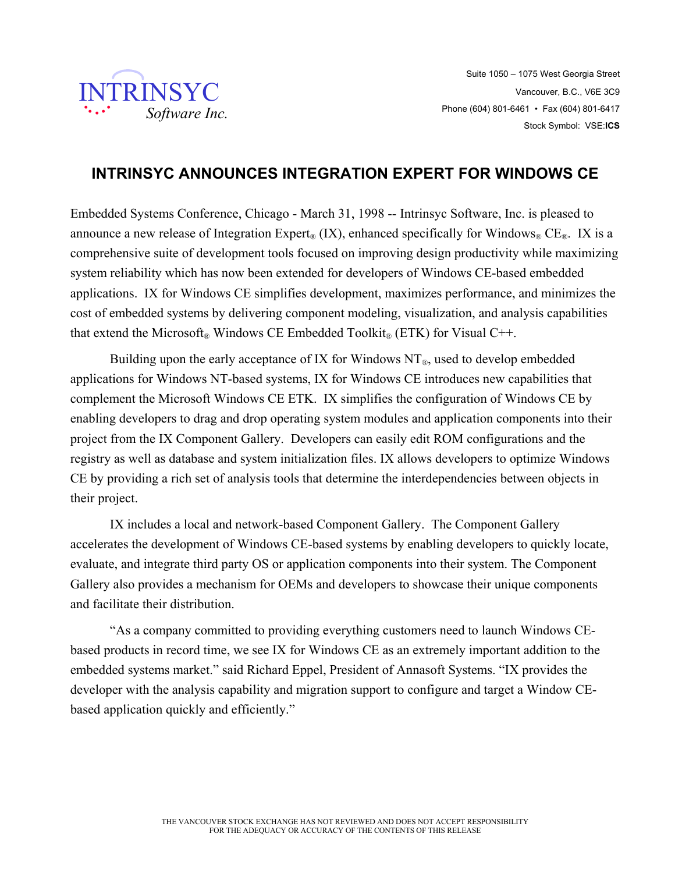

## **INTRINSYC ANNOUNCES INTEGRATION EXPERT FOR WINDOWS CE**

Embedded Systems Conference, Chicago - March 31, 1998 -- Intrinsyc Software, Inc. is pleased to announce a new release of Integration Expert<sub>®</sub> (IX), enhanced specifically for Windows<sub>®</sub> CE<sub>®</sub>. IX is a comprehensive suite of development tools focused on improving design productivity while maximizing system reliability which has now been extended for developers of Windows CE-based embedded applications. IX for Windows CE simplifies development, maximizes performance, and minimizes the cost of embedded systems by delivering component modeling, visualization, and analysis capabilities that extend the Microsoft<sup>®</sup> Windows CE Embedded Toolkit<sup>®</sup> (ETK) for Visual C++.

Building upon the early acceptance of IX for Windows  $NT<sub>®</sub>$ , used to develop embedded applications for Windows NT-based systems, IX for Windows CE introduces new capabilities that complement the Microsoft Windows CE ETK. IX simplifies the configuration of Windows CE by enabling developers to drag and drop operating system modules and application components into their project from the IX Component Gallery. Developers can easily edit ROM configurations and the registry as well as database and system initialization files. IX allows developers to optimize Windows CE by providing a rich set of analysis tools that determine the interdependencies between objects in their project.

IX includes a local and network-based Component Gallery. The Component Gallery accelerates the development of Windows CE-based systems by enabling developers to quickly locate, evaluate, and integrate third party OS or application components into their system. The Component Gallery also provides a mechanism for OEMs and developers to showcase their unique components and facilitate their distribution.

"As a company committed to providing everything customers need to launch Windows CEbased products in record time, we see IX for Windows CE as an extremely important addition to the embedded systems market." said Richard Eppel, President of Annasoft Systems. "IX provides the developer with the analysis capability and migration support to configure and target a Window CEbased application quickly and efficiently."